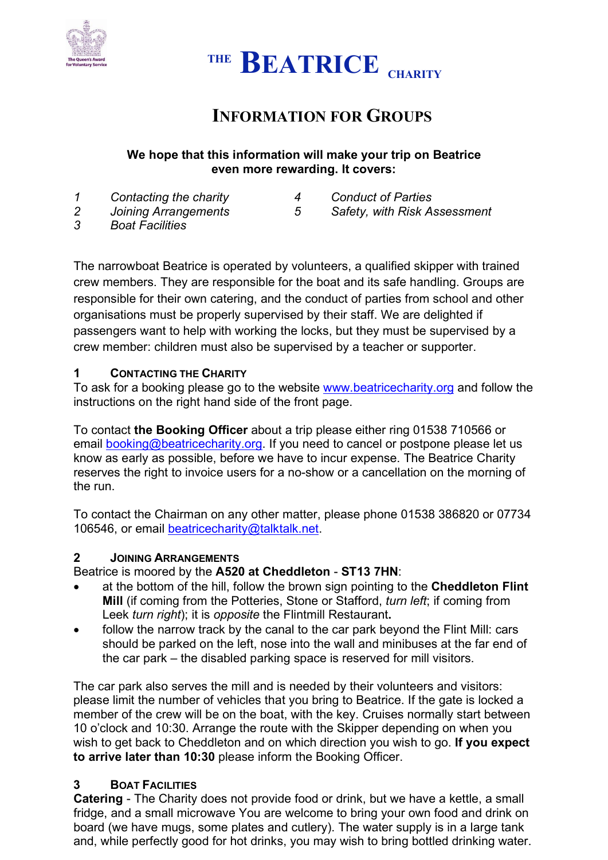



# **INFORMATION FOR GROUPS**

# **We hope that this information will make your trip on Beatrice even more rewarding. It covers:**

- *1 Contacting the charity 4 Conduct of Parties*
- 

*2 Joining Arrangements 5 Safety, with Risk Assessment*

*3 Boat Facilities*

The narrowboat Beatrice is operated by volunteers, a qualified skipper with trained crew members. They are responsible for the boat and its safe handling. Groups are responsible for their own catering, and the conduct of parties from school and other organisations must be properly supervised by their staff. We are delighted if passengers want to help with working the locks, but they must be supervised by a crew member: children must also be supervised by a teacher or supporter.

# **1 CONTACTING THE CHARITY**

To ask for a booking please go to the website [www.beatricecharity.org](http://www.beatricecharity.org/) and follow the instructions on the right hand side of the front page.

To contact **the Booking Officer** about a trip please either ring 01538 710566 or email [booking@beatricecharity.org.](mailto:booking@beatricecharity.org) If you need to cancel or postpone please let us know as early as possible, before we have to incur expense. The Beatrice Charity reserves the right to invoice users for a no-show or a cancellation on the morning of the run.

To contact the Chairman on any other matter, please phone 01538 386820 or 07734 106546, or email [beatricecharity@talktalk.net.](mailto:beatricecharity@talktalk.net)

# **2 JOINING ARRANGEMENTS**

Beatrice is moored by the **A520 at Cheddleton** - **ST13 7HN**:

- at the bottom of the hill, follow the brown sign pointing to the **Cheddleton Flint Mill** (if coming from the Potteries, Stone or Stafford, *turn left*; if coming from Leek *turn right*); it is *opposite* the Flintmill Restaurant**.**
- follow the narrow track by the canal to the car park beyond the Flint Mill: cars should be parked on the left, nose into the wall and minibuses at the far end of the car park – the disabled parking space is reserved for mill visitors.

The car park also serves the mill and is needed by their volunteers and visitors: please limit the number of vehicles that you bring to Beatrice. If the gate is locked a member of the crew will be on the boat, with the key. Cruises normally start between 10 o'clock and 10:30. Arrange the route with the Skipper depending on when you wish to get back to Cheddleton and on which direction you wish to go. **If you expect to arrive later than 10:30** please inform the Booking Officer.

# **3 BOAT FACILITIES**

**Catering** - The Charity does not provide food or drink, but we have a kettle, a small fridge, and a small microwave You are welcome to bring your own food and drink on board (we have mugs, some plates and cutlery). The water supply is in a large tank and, while perfectly good for hot drinks, you may wish to bring bottled drinking water.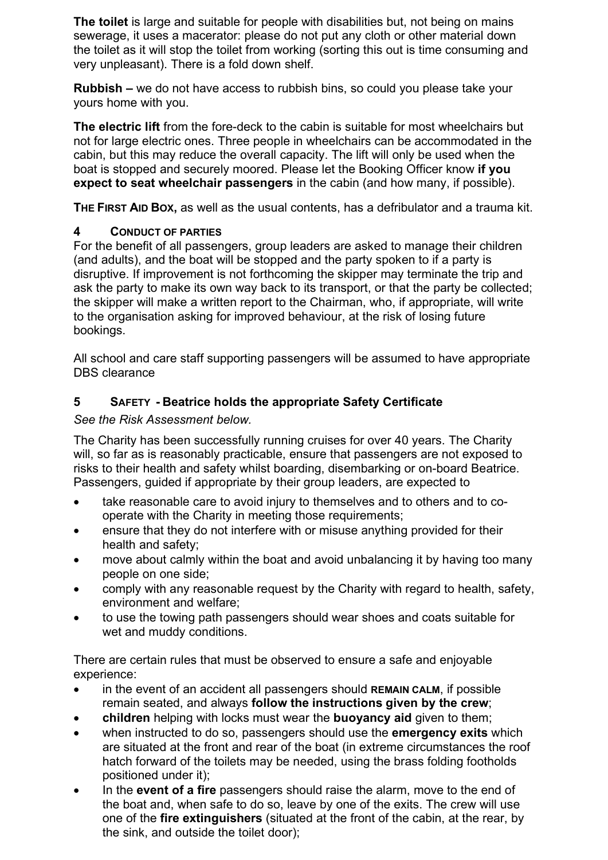**The toilet** is large and suitable for people with disabilities but, not being on mains sewerage, it uses a macerator: please do not put any cloth or other material down the toilet as it will stop the toilet from working (sorting this out is time consuming and very unpleasant). There is a fold down shelf.

**Rubbish –** we do not have access to rubbish bins, so could you please take your yours home with you.

**The electric lift** from the fore-deck to the cabin is suitable for most wheelchairs but not for large electric ones. Three people in wheelchairs can be accommodated in the cabin, but this may reduce the overall capacity. The lift will only be used when the boat is stopped and securely moored. Please let the Booking Officer know **if you expect to seat wheelchair passengers** in the cabin (and how many, if possible).

**THE FIRST AID BOX,** as well as the usual contents, has a defribulator and a trauma kit.

# **4 CONDUCT OF PARTIES**

For the benefit of all passengers, group leaders are asked to manage their children (and adults), and the boat will be stopped and the party spoken to if a party is disruptive. If improvement is not forthcoming the skipper may terminate the trip and ask the party to make its own way back to its transport, or that the party be collected; the skipper will make a written report to the Chairman, who, if appropriate, will write to the organisation asking for improved behaviour, at the risk of losing future bookings.

All school and care staff supporting passengers will be assumed to have appropriate DBS clearance

# **5 SAFETY - Beatrice holds the appropriate Safety Certificate**

*See the Risk Assessment below.*

The Charity has been successfully running cruises for over 40 years. The Charity will, so far as is reasonably practicable, ensure that passengers are not exposed to risks to their health and safety whilst boarding, disembarking or on-board Beatrice. Passengers, guided if appropriate by their group leaders, are expected to

- take reasonable care to avoid injury to themselves and to others and to cooperate with the Charity in meeting those requirements;
- ensure that they do not interfere with or misuse anything provided for their health and safety;
- move about calmly within the boat and avoid unbalancing it by having too many people on one side;
- comply with any reasonable request by the Charity with regard to health, safety, environment and welfare;
- to use the towing path passengers should wear shoes and coats suitable for wet and muddy conditions.

There are certain rules that must be observed to ensure a safe and enjoyable experience:

- in the event of an accident all passengers should **REMAIN CALM**, if possible remain seated, and always **follow the instructions given by the crew**;
- **children** helping with locks must wear the **buoyancy aid** given to them;
- when instructed to do so, passengers should use the **emergency exits** which are situated at the front and rear of the boat (in extreme circumstances the roof hatch forward of the toilets may be needed, using the brass folding footholds positioned under it);
- In the **event of a fire** passengers should raise the alarm, move to the end of the boat and, when safe to do so, leave by one of the exits. The crew will use one of the **fire extinguishers** (situated at the front of the cabin, at the rear, by the sink, and outside the toilet door);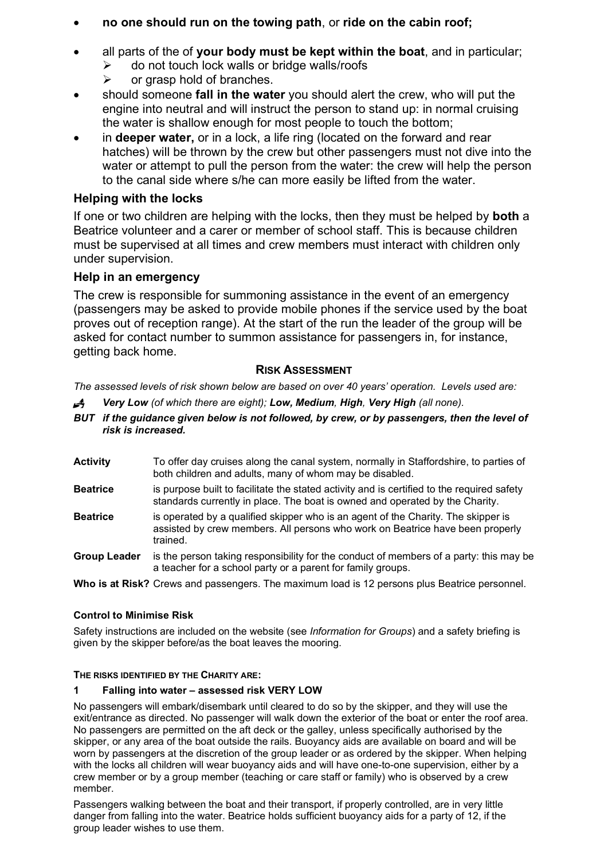- **no one should run on the towing path**, or **ride on the cabin roof;**
- all parts of the of **your body must be kept within the boat**, and in particular;  $\triangleright$  do not touch lock walls or bridge walls/roofs
	-
	- $\triangleright$  or grasp hold of branches.
- should someone **fall in the water** you should alert the crew, who will put the engine into neutral and will instruct the person to stand up: in normal cruising the water is shallow enough for most people to touch the bottom;
- in **deeper water,** or in a lock, a life ring (located on the forward and rear hatches) will be thrown by the crew but other passengers must not dive into the water or attempt to pull the person from the water: the crew will help the person to the canal side where s/he can more easily be lifted from the water.

# **Helping with the locks**

If one or two children are helping with the locks, then they must be helped by **both** a Beatrice volunteer and a carer or member of school staff. This is because children must be supervised at all times and crew members must interact with children only under supervision.

# **Help in an emergency**

The crew is responsible for summoning assistance in the event of an emergency (passengers may be asked to provide mobile phones if the service used by the boat proves out of reception range). At the start of the run the leader of the group will be asked for contact number to summon assistance for passengers in, for instance, getting back home.

### **RISK ASSESSMENT**

*The assessed levels of risk shown below are based on over 40 years' operation. Levels used are:* 

- *Very Low (of which there are eight); Low, Medium, High, Very High (all none).*
- *BUT if the guidance given below is not followed, by crew, or by passengers, then the level of risk is increased.*
- **Activity** To offer day cruises along the canal system, normally in Staffordshire, to parties of both children and adults, many of whom may be disabled.
- **Beatrice** is purpose built to facilitate the stated activity and is certified to the required safety standards currently in place. The boat is owned and operated by the Charity.
- **Beatrice** is operated by a qualified skipper who is an agent of the Charity. The skipper is assisted by crew members. All persons who work on Beatrice have been properly trained.
- **Group Leader** is the person taking responsibility for the conduct of members of a party: this may be a teacher for a school party or a parent for family groups.

**Who is at Risk?** Crews and passengers. The maximum load is 12 persons plus Beatrice personnel.

### **Control to Minimise Risk**

Safety instructions are included on the website (see *Information for Groups*) and a safety briefing is given by the skipper before/as the boat leaves the mooring.

### **THE RISKS IDENTIFIED BY THE CHARITY ARE:**

### **1 Falling into water – assessed risk VERY LOW**

No passengers will embark/disembark until cleared to do so by the skipper, and they will use the exit/entrance as directed. No passenger will walk down the exterior of the boat or enter the roof area. No passengers are permitted on the aft deck or the galley, unless specifically authorised by the skipper, or any area of the boat outside the rails. Buoyancy aids are available on board and will be worn by passengers at the discretion of the group leader or as ordered by the skipper. When helping with the locks all children will wear buoyancy aids and will have one-to-one supervision, either by a crew member or by a group member (teaching or care staff or family) who is observed by a crew member.

Passengers walking between the boat and their transport, if properly controlled, are in very little danger from falling into the water. Beatrice holds sufficient buoyancy aids for a party of 12, if the group leader wishes to use them.